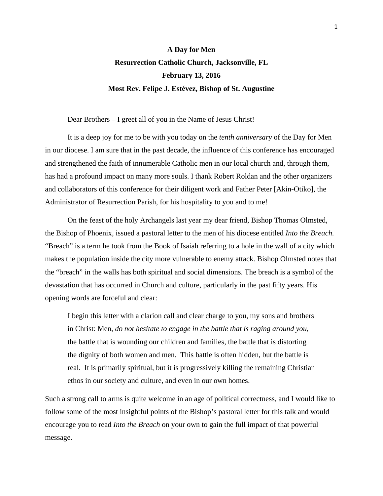## **A Day for Men Resurrection Catholic Church, Jacksonville, FL February 13, 2016 Most Rev. Felipe J. Estévez, Bishop of St. Augustine**

Dear Brothers – I greet all of you in the Name of Jesus Christ!

 It is a deep joy for me to be with you today on the *tenth anniversary* of the Day for Men in our diocese. I am sure that in the past decade, the influence of this conference has encouraged and strengthened the faith of innumerable Catholic men in our local church and, through them, has had a profound impact on many more souls. I thank Robert Roldan and the other organizers and collaborators of this conference for their diligent work and Father Peter [Akin-Otiko], the Administrator of Resurrection Parish, for his hospitality to you and to me!

 On the feast of the holy Archangels last year my dear friend, Bishop Thomas Olmsted, the Bishop of Phoenix, issued a pastoral letter to the men of his diocese entitled *Into the Breach.* "Breach" is a term he took from the Book of Isaiah referring to a hole in the wall of a city which makes the population inside the city more vulnerable to enemy attack. Bishop Olmsted notes that the "breach" in the walls has both spiritual and social dimensions. The breach is a symbol of the devastation that has occurred in Church and culture, particularly in the past fifty years. His opening words are forceful and clear:

I begin this letter with a clarion call and clear charge to you, my sons and brothers in Christ: Men, *do not hesitate to engage in the battle that is raging around you*, the battle that is wounding our children and families, the battle that is distorting the dignity of both women and men. This battle is often hidden, but the battle is real. It is primarily spiritual, but it is progressively killing the remaining Christian ethos in our society and culture, and even in our own homes.

Such a strong call to arms is quite welcome in an age of political correctness, and I would like to follow some of the most insightful points of the Bishop's pastoral letter for this talk and would encourage you to read *Into the Breach* on your own to gain the full impact of that powerful message.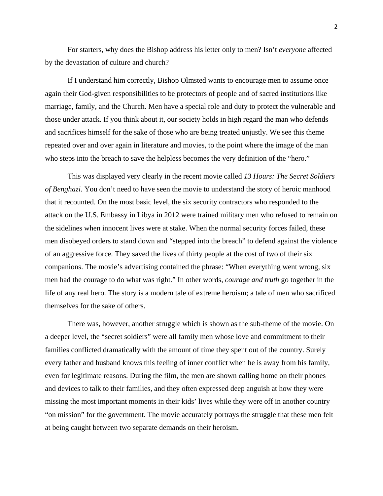For starters, why does the Bishop address his letter only to men? Isn't *everyone* affected by the devastation of culture and church?

 If I understand him correctly, Bishop Olmsted wants to encourage men to assume once again their God-given responsibilities to be protectors of people and of sacred institutions like marriage, family, and the Church. Men have a special role and duty to protect the vulnerable and those under attack. If you think about it, our society holds in high regard the man who defends and sacrifices himself for the sake of those who are being treated unjustly. We see this theme repeated over and over again in literature and movies, to the point where the image of the man who steps into the breach to save the helpless becomes the very definition of the "hero."

 This was displayed very clearly in the recent movie called *13 Hours: The Secret Soldiers of Benghazi*. You don't need to have seen the movie to understand the story of heroic manhood that it recounted. On the most basic level, the six security contractors who responded to the attack on the U.S. Embassy in Libya in 2012 were trained military men who refused to remain on the sidelines when innocent lives were at stake. When the normal security forces failed, these men disobeyed orders to stand down and "stepped into the breach" to defend against the violence of an aggressive force. They saved the lives of thirty people at the cost of two of their six companions. The movie's advertising contained the phrase: "When everything went wrong, six men had the courage to do what was right." In other words, *courage and truth* go together in the life of any real hero. The story is a modern tale of extreme heroism; a tale of men who sacrificed themselves for the sake of others.

 There was, however, another struggle which is shown as the sub-theme of the movie. On a deeper level, the "secret soldiers" were all family men whose love and commitment to their families conflicted dramatically with the amount of time they spent out of the country. Surely every father and husband knows this feeling of inner conflict when he is away from his family, even for legitimate reasons. During the film, the men are shown calling home on their phones and devices to talk to their families, and they often expressed deep anguish at how they were missing the most important moments in their kids' lives while they were off in another country "on mission" for the government. The movie accurately portrays the struggle that these men felt at being caught between two separate demands on their heroism.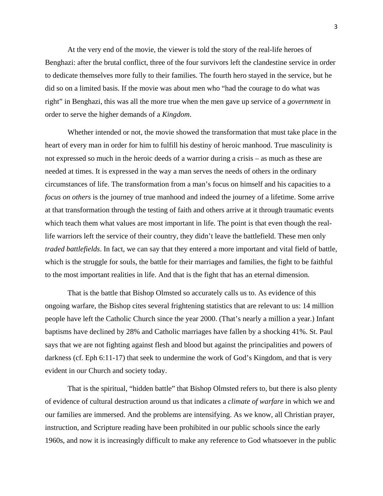At the very end of the movie, the viewer is told the story of the real-life heroes of Benghazi: after the brutal conflict, three of the four survivors left the clandestine service in order to dedicate themselves more fully to their families. The fourth hero stayed in the service, but he did so on a limited basis. If the movie was about men who "had the courage to do what was right" in Benghazi, this was all the more true when the men gave up service of a *government* in order to serve the higher demands of a *Kingdom*.

Whether intended or not, the movie showed the transformation that must take place in the heart of every man in order for him to fulfill his destiny of heroic manhood. True masculinity is not expressed so much in the heroic deeds of a warrior during a crisis – as much as these are needed at times. It is expressed in the way a man serves the needs of others in the ordinary circumstances of life. The transformation from a man's focus on himself and his capacities to a *focus on others* is the journey of true manhood and indeed the journey of a lifetime. Some arrive at that transformation through the testing of faith and others arrive at it through traumatic events which teach them what values are most important in life. The point is that even though the reallife warriors left the service of their country, they didn't leave the battlefield. These men only *traded battlefields*. In fact, we can say that they entered a more important and vital field of battle, which is the struggle for souls, the battle for their marriages and families, the fight to be faithful to the most important realities in life. And that is the fight that has an eternal dimension.

That is the battle that Bishop Olmsted so accurately calls us to. As evidence of this ongoing warfare, the Bishop cites several frightening statistics that are relevant to us: 14 million people have left the Catholic Church since the year 2000. (That's nearly a million a year.) Infant baptisms have declined by 28% and Catholic marriages have fallen by a shocking 41%. St. Paul says that we are not fighting against flesh and blood but against the principalities and powers of darkness (cf. Eph 6:11-17) that seek to undermine the work of God's Kingdom, and that is very evident in our Church and society today.

That is the spiritual, "hidden battle" that Bishop Olmsted refers to, but there is also plenty of evidence of cultural destruction around us that indicates a *climate of warfare* in which we and our families are immersed. And the problems are intensifying. As we know, all Christian prayer, instruction, and Scripture reading have been prohibited in our public schools since the early 1960s, and now it is increasingly difficult to make any reference to God whatsoever in the public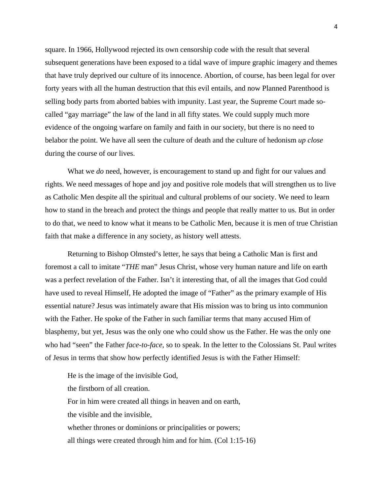square. In 1966, Hollywood rejected its own censorship code with the result that several subsequent generations have been exposed to a tidal wave of impure graphic imagery and themes that have truly deprived our culture of its innocence. Abortion, of course, has been legal for over forty years with all the human destruction that this evil entails, and now Planned Parenthood is selling body parts from aborted babies with impunity. Last year, the Supreme Court made socalled "gay marriage" the law of the land in all fifty states. We could supply much more evidence of the ongoing warfare on family and faith in our society, but there is no need to belabor the point. We have all seen the culture of death and the culture of hedonism *up close* during the course of our lives.

What we *do* need, however, is encouragement to stand up and fight for our values and rights. We need messages of hope and joy and positive role models that will strengthen us to live as Catholic Men despite all the spiritual and cultural problems of our society. We need to learn how to stand in the breach and protect the things and people that really matter to us. But in order to do that, we need to know what it means to be Catholic Men, because it is men of true Christian faith that make a difference in any society, as history well attests.

Returning to Bishop Olmsted's letter, he says that being a Catholic Man is first and foremost a call to imitate "*THE* man" Jesus Christ, whose very human nature and life on earth was a perfect revelation of the Father. Isn't it interesting that, of all the images that God could have used to reveal Himself, He adopted the image of "Father" as the primary example of His essential nature? Jesus was intimately aware that His mission was to bring us into communion with the Father. He spoke of the Father in such familiar terms that many accused Him of blasphemy, but yet, Jesus was the only one who could show us the Father. He was the only one who had "seen" the Father *face-to-face*, so to speak. In the letter to the Colossians St. Paul writes of Jesus in terms that show how perfectly identified Jesus is with the Father Himself:

He is the image of the invisible God, the firstborn of all creation. For in him were created all things in heaven and on earth, the visible and the invisible, whether thrones or dominions or principalities or powers; all things were created through him and for him. (Col 1:15-16)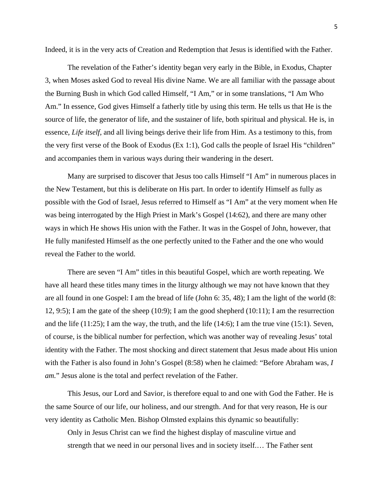Indeed, it is in the very acts of Creation and Redemption that Jesus is identified with the Father.

The revelation of the Father's identity began very early in the Bible, in Exodus, Chapter 3, when Moses asked God to reveal His divine Name. We are all familiar with the passage about the Burning Bush in which God called Himself, "I Am," or in some translations, "I Am Who Am." In essence, God gives Himself a fatherly title by using this term. He tells us that He is the source of life, the generator of life, and the sustainer of life, both spiritual and physical. He is, in essence, *Life itself*, and all living beings derive their life from Him. As a testimony to this, from the very first verse of the Book of Exodus (Ex 1:1), God calls the people of Israel His "children" and accompanies them in various ways during their wandering in the desert.

Many are surprised to discover that Jesus too calls Himself "I Am" in numerous places in the New Testament, but this is deliberate on His part. In order to identify Himself as fully as possible with the God of Israel, Jesus referred to Himself as "I Am" at the very moment when He was being interrogated by the High Priest in Mark's Gospel (14:62), and there are many other ways in which He shows His union with the Father. It was in the Gospel of John, however, that He fully manifested Himself as the one perfectly united to the Father and the one who would reveal the Father to the world.

There are seven "I Am" titles in this beautiful Gospel, which are worth repeating. We have all heard these titles many times in the liturgy although we may not have known that they are all found in one Gospel: I am the bread of life (John 6: 35, 48); I am the light of the world (8: 12, 9:5); I am the gate of the sheep (10:9); I am the good shepherd (10:11); I am the resurrection and the life  $(11:25)$ ; I am the way, the truth, and the life  $(14:6)$ ; I am the true vine  $(15:1)$ . Seven, of course, is the biblical number for perfection, which was another way of revealing Jesus' total identity with the Father. The most shocking and direct statement that Jesus made about His union with the Father is also found in John's Gospel (8:58) when he claimed: "Before Abraham was, *I am.*" Jesus alone is the total and perfect revelation of the Father.

This Jesus, our Lord and Savior, is therefore equal to and one with God the Father. He is the same Source of our life, our holiness, and our strength. And for that very reason, He is our very identity as Catholic Men. Bishop Olmsted explains this dynamic so beautifully:

Only in Jesus Christ can we find the highest display of masculine virtue and strength that we need in our personal lives and in society itself.… The Father sent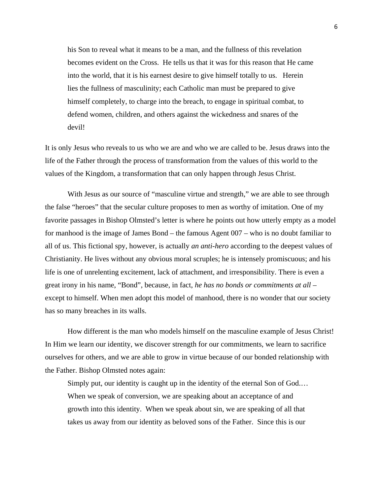his Son to reveal what it means to be a man, and the fullness of this revelation becomes evident on the Cross. He tells us that it was for this reason that He came into the world, that it is his earnest desire to give himself totally to us. Herein lies the fullness of masculinity; each Catholic man must be prepared to give himself completely, to charge into the breach, to engage in spiritual combat, to defend women, children, and others against the wickedness and snares of the devil!

It is only Jesus who reveals to us who we are and who we are called to be. Jesus draws into the life of the Father through the process of transformation from the values of this world to the values of the Kingdom, a transformation that can only happen through Jesus Christ.

With Jesus as our source of "masculine virtue and strength," we are able to see through the false "heroes" that the secular culture proposes to men as worthy of imitation. One of my favorite passages in Bishop Olmsted's letter is where he points out how utterly empty as a model for manhood is the image of James Bond – the famous Agent 007 – who is no doubt familiar to all of us. This fictional spy, however, is actually *an anti-hero* according to the deepest values of Christianity. He lives without any obvious moral scruples; he is intensely promiscuous; and his life is one of unrelenting excitement, lack of attachment, and irresponsibility. There is even a great irony in his name, "Bond", because, in fact, *he has no bonds or commitments at all* – except to himself. When men adopt this model of manhood, there is no wonder that our society has so many breaches in its walls.

 How different is the man who models himself on the masculine example of Jesus Christ! In Him we learn our identity, we discover strength for our commitments, we learn to sacrifice ourselves for others, and we are able to grow in virtue because of our bonded relationship with the Father. Bishop Olmsted notes again:

Simply put, our identity is caught up in the identity of the eternal Son of God.… When we speak of conversion, we are speaking about an acceptance of and growth into this identity. When we speak about sin, we are speaking of all that takes us away from our identity as beloved sons of the Father. Since this is our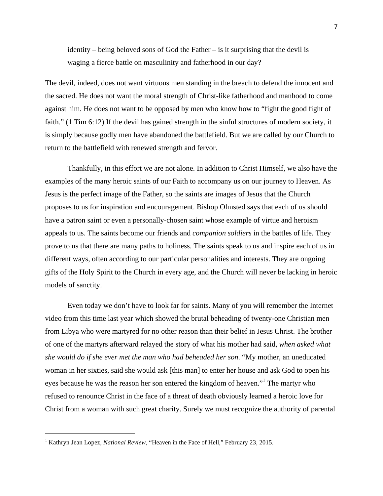identity – being beloved sons of God the Father – is it surprising that the devil is waging a fierce battle on masculinity and fatherhood in our day?

The devil, indeed, does not want virtuous men standing in the breach to defend the innocent and the sacred. He does not want the moral strength of Christ-like fatherhood and manhood to come against him. He does not want to be opposed by men who know how to "fight the good fight of faith." (1 Tim 6:12) If the devil has gained strength in the sinful structures of modern society, it is simply because godly men have abandoned the battlefield. But we are called by our Church to return to the battlefield with renewed strength and fervor.

Thankfully, in this effort we are not alone. In addition to Christ Himself, we also have the examples of the many heroic saints of our Faith to accompany us on our journey to Heaven. As Jesus is the perfect image of the Father, so the saints are images of Jesus that the Church proposes to us for inspiration and encouragement. Bishop Olmsted says that each of us should have a patron saint or even a personally-chosen saint whose example of virtue and heroism appeals to us. The saints become our friends and *companion soldiers* in the battles of life. They prove to us that there are many paths to holiness. The saints speak to us and inspire each of us in different ways, often according to our particular personalities and interests. They are ongoing gifts of the Holy Spirit to the Church in every age, and the Church will never be lacking in heroic models of sanctity.

 Even today we don't have to look far for saints. Many of you will remember the Internet video from this time last year which showed the brutal beheading of twenty-one Christian men from Libya who were martyred for no other reason than their belief in Jesus Christ. The brother of one of the martyrs afterward relayed the story of what his mother had said, *when asked what she would do if she ever met the man who had beheaded her son*. "My mother, an uneducated woman in her sixties, said she would ask [this man] to enter her house and ask God to open his eyes because he was the reason her son entered the kingdom of heaven."<sup>1</sup> The martyr who refused to renounce Christ in the face of a threat of death obviously learned a heroic love for Christ from a woman with such great charity. Surely we must recognize the authority of parental

 $\overline{\phantom{a}}$ 

<sup>&</sup>lt;sup>1</sup> Kathryn Jean Lopez, *National Review*, "Heaven in the Face of Hell," February 23, 2015.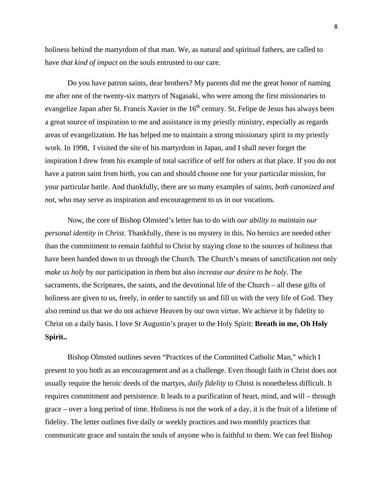holiness behind the martyrdom of that man. We, as natural and spiritual fathers, are called to have *that kind of impact* on the souls entrusted to our care.

 Do you have patron saints, dear brothers? My parents did me the great honor of naming me after one of the twenty-six martyrs of Nagasaki, who were among the first missionaries to evangelize Japan after St. Francis Xavier in the 16<sup>th</sup> century. St. Felipe de Jesus has always been a great source of inspiration to me and assistance in my priestly ministry, especially as regards areas of evangelization. He has helped me to maintain a strong missionary spirit in my priestly work. In 1998, I visited the site of his martyrdom in Japan, and I shall never forget the inspiration I drew from his example of total sacrifice of self for others at that place. If you do not have a patron saint from birth, you can and should choose one for your particular mission, for your particular battle. And thankfully, there are so many examples of saints, *both canonized and not*, who may serve as inspiration and encouragement to us in our vocations.

 Now, the core of Bishop Olmsted's letter has to do with *our ability to maintain our personal identity in Christ*. Thankfully, there is no mystery in this. No heroics are needed other than the commitment to remain faithful to Christ by staying close to the sources of holiness that have been handed down to us through the Church. The Church's means of sanctification not only *make us holy* by our participation in them but also *increase our desire to be holy*. The sacraments, the Scriptures, the saints, and the devotional life of the Church – all these gifts of holiness are given to us, freely, in order to sanctify us and fill us with the very life of God. They also remind us that we do not achieve Heaven by our own virtue. We achieve it by fidelity to Christ on a daily basis. I love St Augustin's prayer to the Holy Spirit: **Breath in me, Oh Holy Spirit..**

 Bishop Olmsted outlines seven "Practices of the Committed Catholic Man," which I present to you both as an encouragement and as a challenge. Even though faith in Christ does not usually require the heroic deeds of the martyrs, *daily fidelity* to Christ is nonetheless difficult. It requires commitment and persistence. It leads to a purification of heart, mind, and will – through grace – over a long period of time. Holiness is not the work of a day, it is the fruit of a lifetime of fidelity. The letter outlines five daily or weekly practices and two monthly practices that communicate grace and sustain the souls of anyone who is faithful to them. We can feel Bishop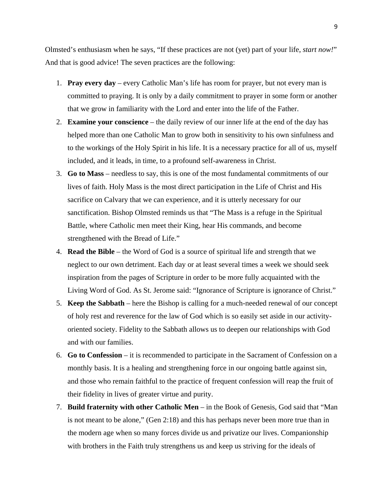Olmsted's enthusiasm when he says, "If these practices are not (yet) part of your life, *start now!*" And that is good advice! The seven practices are the following:

- 1. **Pray every day** every Catholic Man's life has room for prayer, but not every man is committed to praying. It is only by a daily commitment to prayer in some form or another that we grow in familiarity with the Lord and enter into the life of the Father.
- 2. **Examine your conscience** the daily review of our inner life at the end of the day has helped more than one Catholic Man to grow both in sensitivity to his own sinfulness and to the workings of the Holy Spirit in his life. It is a necessary practice for all of us, myself included, and it leads, in time, to a profound self-awareness in Christ.
- 3. **Go to Mass**  needless to say, this is one of the most fundamental commitments of our lives of faith. Holy Mass is the most direct participation in the Life of Christ and His sacrifice on Calvary that we can experience, and it is utterly necessary for our sanctification. Bishop Olmsted reminds us that "The Mass is a refuge in the Spiritual Battle, where Catholic men meet their King, hear His commands, and become strengthened with the Bread of Life."
- 4. **Read the Bible** the Word of God is a source of spiritual life and strength that we neglect to our own detriment. Each day or at least several times a week we should seek inspiration from the pages of Scripture in order to be more fully acquainted with the Living Word of God. As St. Jerome said: "Ignorance of Scripture is ignorance of Christ."
- 5. **Keep the Sabbath** here the Bishop is calling for a much-needed renewal of our concept of holy rest and reverence for the law of God which is so easily set aside in our activityoriented society. Fidelity to the Sabbath allows us to deepen our relationships with God and with our families.
- 6. **Go to Confession** it is recommended to participate in the Sacrament of Confession on a monthly basis. It is a healing and strengthening force in our ongoing battle against sin, and those who remain faithful to the practice of frequent confession will reap the fruit of their fidelity in lives of greater virtue and purity.
- 7. **Build fraternity with other Catholic Men** in the Book of Genesis, God said that "Man is not meant to be alone," (Gen 2:18) and this has perhaps never been more true than in the modern age when so many forces divide us and privatize our lives. Companionship with brothers in the Faith truly strengthens us and keep us striving for the ideals of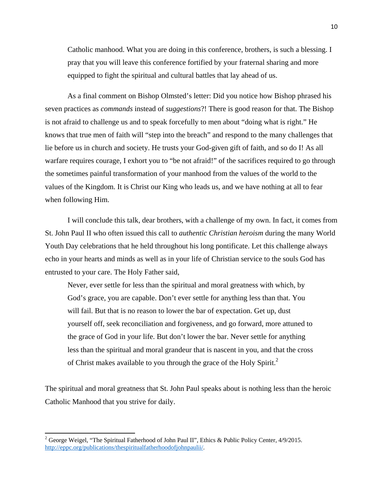Catholic manhood. What you are doing in this conference, brothers, is such a blessing. I pray that you will leave this conference fortified by your fraternal sharing and more equipped to fight the spiritual and cultural battles that lay ahead of us.

As a final comment on Bishop Olmsted's letter: Did you notice how Bishop phrased his seven practices as *commands* instead of *suggestions*?! There is good reason for that. The Bishop is not afraid to challenge us and to speak forcefully to men about "doing what is right." He knows that true men of faith will "step into the breach" and respond to the many challenges that lie before us in church and society. He trusts your God-given gift of faith, and so do I! As all warfare requires courage, I exhort you to "be not afraid!" of the sacrifices required to go through the sometimes painful transformation of your manhood from the values of the world to the values of the Kingdom. It is Christ our King who leads us, and we have nothing at all to fear when following Him.

I will conclude this talk, dear brothers, with a challenge of my own. In fact, it comes from St. John Paul II who often issued this call to *authentic Christian heroism* during the many World Youth Day celebrations that he held throughout his long pontificate. Let this challenge always echo in your hearts and minds as well as in your life of Christian service to the souls God has entrusted to your care. The Holy Father said,

Never, ever settle for less than the spiritual and moral greatness with which, by God's grace, you are capable. Don't ever settle for anything less than that. You will fail. But that is no reason to lower the bar of expectation. Get up, dust yourself off, seek reconciliation and forgiveness, and go forward, more attuned to the grace of God in your life. But don't lower the bar. Never settle for anything less than the spiritual and moral grandeur that is nascent in you, and that the cross of Christ makes available to you through the grace of the Holy Spirit.<sup>2</sup>

The spiritual and moral greatness that St. John Paul speaks about is nothing less than the heroic Catholic Manhood that you strive for daily.

 $\overline{a}$ 

<sup>&</sup>lt;sup>2</sup> George Weigel, "The Spiritual Fatherhood of John Paul II", Ethics & Public Policy Center,  $4/9/2015$ . http://eppc.org/publications/thespiritualfatherhoodofjohnpaulii/.